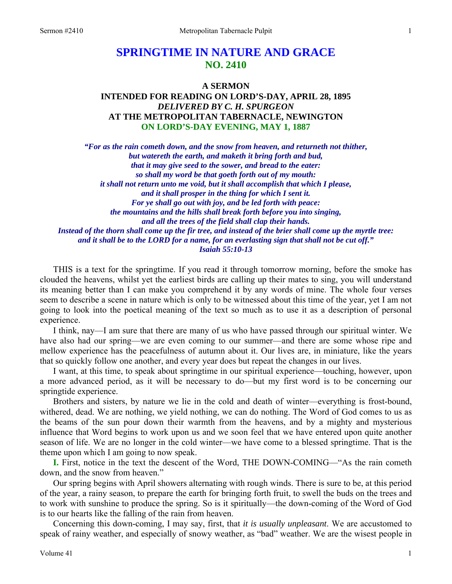# **SPRINGTIME IN NATURE AND GRACE NO. 2410**

## **A SERMON INTENDED FOR READING ON LORD'S-DAY, APRIL 28, 1895**  *DELIVERED BY C. H. SPURGEON*  **AT THE METROPOLITAN TABERNACLE, NEWINGTON ON LORD'S-DAY EVENING, MAY 1, 1887**

*"For as the rain cometh down, and the snow from heaven, and returneth not thither, but watereth the earth, and maketh it bring forth and bud, that it may give seed to the sower, and bread to the eater: so shall my word be that goeth forth out of my mouth: it shall not return unto me void, but it shall accomplish that which I please, and it shall prosper in the thing for which I sent it. For ye shall go out with joy, and be led forth with peace: the mountains and the hills shall break forth before you into singing, and all the trees of the field shall clap their hands. Instead of the thorn shall come up the fir tree, and instead of the brier shall come up the myrtle tree: and it shall be to the LORD for a name, for an everlasting sign that shall not be cut off." Isaiah 55:10-13* 

THIS is a text for the springtime. If you read it through tomorrow morning, before the smoke has clouded the heavens, whilst yet the earliest birds are calling up their mates to sing, you will understand its meaning better than I can make you comprehend it by any words of mine. The whole four verses seem to describe a scene in nature which is only to be witnessed about this time of the year, yet I am not going to look into the poetical meaning of the text so much as to use it as a description of personal experience.

I think, nay—I am sure that there are many of us who have passed through our spiritual winter. We have also had our spring—we are even coming to our summer—and there are some whose ripe and mellow experience has the peacefulness of autumn about it. Our lives are, in miniature, like the years that so quickly follow one another, and every year does but repeat the changes in our lives.

I want, at this time, to speak about springtime in our spiritual experience—touching, however, upon a more advanced period, as it will be necessary to do—but my first word is to be concerning our springtide experience.

Brothers and sisters, by nature we lie in the cold and death of winter—everything is frost-bound, withered, dead. We are nothing, we yield nothing, we can do nothing. The Word of God comes to us as the beams of the sun pour down their warmth from the heavens, and by a mighty and mysterious influence that Word begins to work upon us and we soon feel that we have entered upon quite another season of life. We are no longer in the cold winter—we have come to a blessed springtime. That is the theme upon which I am going to now speak.

**I.** First, notice in the text the descent of the Word, THE DOWN-COMING—"As the rain cometh down, and the snow from heaven."

Our spring begins with April showers alternating with rough winds. There is sure to be, at this period of the year, a rainy season, to prepare the earth for bringing forth fruit, to swell the buds on the trees and to work with sunshine to produce the spring. So is it spiritually—the down-coming of the Word of God is to our hearts like the falling of the rain from heaven.

Concerning this down-coming, I may say, first, that *it is usually unpleasant*. We are accustomed to speak of rainy weather, and especially of snowy weather, as "bad" weather. We are the wisest people in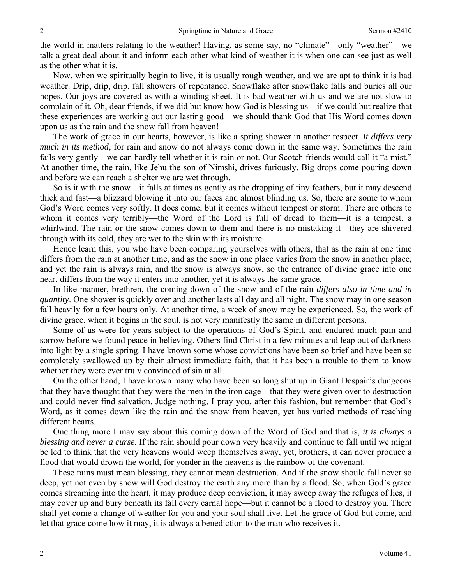the world in matters relating to the weather! Having, as some say, no "climate"—only "weather"—we talk a great deal about it and inform each other what kind of weather it is when one can see just as well as the other what it is.

Now, when we spiritually begin to live, it is usually rough weather, and we are apt to think it is bad weather. Drip, drip, drip, fall showers of repentance. Snowflake after snowflake falls and buries all our hopes. Our joys are covered as with a winding-sheet. It is bad weather with us and we are not slow to complain of it. Oh, dear friends, if we did but know how God is blessing us—if we could but realize that these experiences are working out our lasting good—we should thank God that His Word comes down upon us as the rain and the snow fall from heaven!

The work of grace in our hearts, however, is like a spring shower in another respect. *It differs very much in its method*, for rain and snow do not always come down in the same way. Sometimes the rain fails very gently—we can hardly tell whether it is rain or not. Our Scotch friends would call it "a mist." At another time, the rain, like Jehu the son of Nimshi, drives furiously. Big drops come pouring down and before we can reach a shelter we are wet through.

So is it with the snow—it falls at times as gently as the dropping of tiny feathers, but it may descend thick and fast—a blizzard blowing it into our faces and almost blinding us. So, there are some to whom God's Word comes very softly. It does come, but it comes without tempest or storm. There are others to whom it comes very terribly—the Word of the Lord is full of dread to them—it is a tempest, a whirlwind. The rain or the snow comes down to them and there is no mistaking it—they are shivered through with its cold, they are wet to the skin with its moisture.

Hence learn this, you who have been comparing yourselves with others, that as the rain at one time differs from the rain at another time, and as the snow in one place varies from the snow in another place, and yet the rain is always rain, and the snow is always snow, so the entrance of divine grace into one heart differs from the way it enters into another, yet it is always the same grace.

In like manner, brethren, the coming down of the snow and of the rain *differs also in time and in quantity*. One shower is quickly over and another lasts all day and all night. The snow may in one season fall heavily for a few hours only. At another time, a week of snow may be experienced. So, the work of divine grace, when it begins in the soul, is not very manifestly the same in different persons.

Some of us were for years subject to the operations of God's Spirit, and endured much pain and sorrow before we found peace in believing. Others find Christ in a few minutes and leap out of darkness into light by a single spring. I have known some whose convictions have been so brief and have been so completely swallowed up by their almost immediate faith, that it has been a trouble to them to know whether they were ever truly convinced of sin at all.

On the other hand, I have known many who have been so long shut up in Giant Despair's dungeons that they have thought that they were the men in the iron cage—that they were given over to destruction and could never find salvation. Judge nothing, I pray you, after this fashion, but remember that God's Word, as it comes down like the rain and the snow from heaven, yet has varied methods of reaching different hearts.

One thing more I may say about this coming down of the Word of God and that is, *it is always a blessing and never a curse*. If the rain should pour down very heavily and continue to fall until we might be led to think that the very heavens would weep themselves away, yet, brothers, it can never produce a flood that would drown the world, for yonder in the heavens is the rainbow of the covenant.

These rains must mean blessing, they cannot mean destruction. And if the snow should fall never so deep, yet not even by snow will God destroy the earth any more than by a flood. So, when God's grace comes streaming into the heart, it may produce deep conviction, it may sweep away the refuges of lies, it may cover up and bury beneath its fall every carnal hope—but it cannot be a flood to destroy you. There shall yet come a change of weather for you and your soul shall live. Let the grace of God but come, and let that grace come how it may, it is always a benediction to the man who receives it.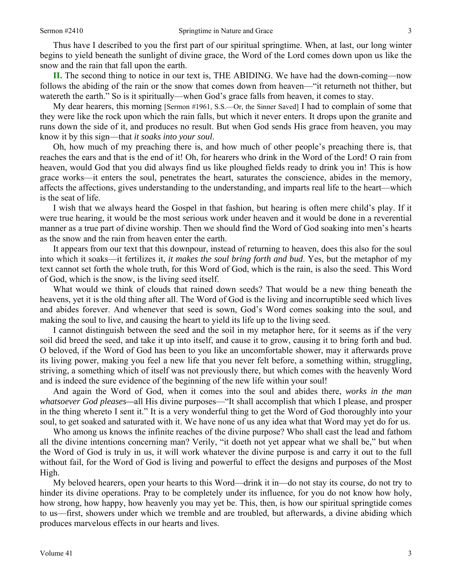Thus have I described to you the first part of our spiritual springtime. When, at last, our long winter begins to yield beneath the sunlight of divine grace, the Word of the Lord comes down upon us like the snow and the rain that fall upon the earth.

**II.** The second thing to notice in our text is, THE ABIDING. We have had the down-coming—now follows the abiding of the rain or the snow that comes down from heaven—"it returneth not thither, but watereth the earth." So is it spiritually—when God's grace falls from heaven, it comes to stay.

My dear hearers, this morning [Sermon #1961, S.S.—Or, the Sinner Saved] I had to complain of some that they were like the rock upon which the rain falls, but which it never enters. It drops upon the granite and runs down the side of it, and produces no result. But when God sends His grace from heaven, you may know it by this sign—that *it soaks into your soul*.

Oh, how much of my preaching there is, and how much of other people's preaching there is, that reaches the ears and that is the end of it! Oh, for hearers who drink in the Word of the Lord! O rain from heaven, would God that you did always find us like ploughed fields ready to drink you in! This is how grace works—it enters the soul, penetrates the heart, saturates the conscience, abides in the memory, affects the affections, gives understanding to the understanding, and imparts real life to the heart—which is the seat of life.

I wish that we always heard the Gospel in that fashion, but hearing is often mere child's play. If it were true hearing, it would be the most serious work under heaven and it would be done in a reverential manner as a true part of divine worship. Then we should find the Word of God soaking into men's hearts as the snow and the rain from heaven enter the earth.

It appears from our text that this downpour, instead of returning to heaven, does this also for the soul into which it soaks—it fertilizes it, *it makes the soul bring forth and bud*. Yes, but the metaphor of my text cannot set forth the whole truth, for this Word of God, which is the rain, is also the seed. This Word of God, which is the snow, is the living seed itself.

What would we think of clouds that rained down seeds? That would be a new thing beneath the heavens, yet it is the old thing after all. The Word of God is the living and incorruptible seed which lives and abides forever. And whenever that seed is sown, God's Word comes soaking into the soul, and making the soul to live, and causing the heart to yield its life up to the living seed.

I cannot distinguish between the seed and the soil in my metaphor here, for it seems as if the very soil did breed the seed, and take it up into itself, and cause it to grow, causing it to bring forth and bud. O beloved, if the Word of God has been to you like an uncomfortable shower, may it afterwards prove its living power, making you feel a new life that you never felt before, a something within, struggling, striving, a something which of itself was not previously there, but which comes with the heavenly Word and is indeed the sure evidence of the beginning of the new life within your soul!

And again the Word of God, when it comes into the soul and abides there, *works in the man whatsoever God pleases—*all His divine purposes—"It shall accomplish that which I please, and prosper in the thing whereto I sent it." It is a very wonderful thing to get the Word of God thoroughly into your soul, to get soaked and saturated with it. We have none of us any idea what that Word may yet do for us.

Who among us knows the infinite reaches of the divine purpose? Who shall cast the lead and fathom all the divine intentions concerning man? Verily, "it doeth not yet appear what we shall be," but when the Word of God is truly in us, it will work whatever the divine purpose is and carry it out to the full without fail, for the Word of God is living and powerful to effect the designs and purposes of the Most High.

My beloved hearers, open your hearts to this Word—drink it in—do not stay its course, do not try to hinder its divine operations. Pray to be completely under its influence, for you do not know how holy, how strong, how happy, how heavenly you may yet be. This, then, is how our spiritual springtide comes to us—first, showers under which we tremble and are troubled, but afterwards, a divine abiding which produces marvelous effects in our hearts and lives.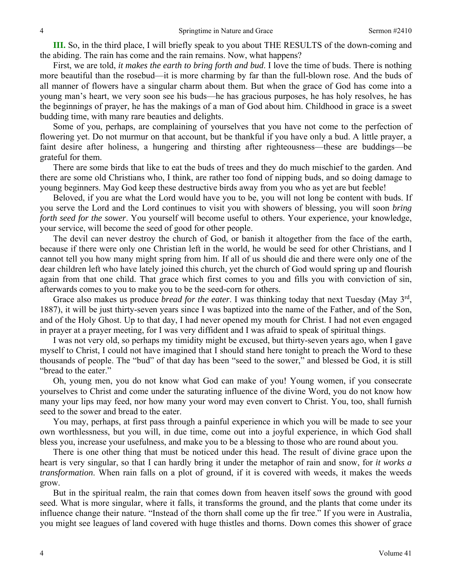**III.** So, in the third place, I will briefly speak to you about THE RESULTS of the down-coming and the abiding. The rain has come and the rain remains. Now, what happens?

First, we are told, *it makes the earth to bring forth and bud*. I love the time of buds. There is nothing more beautiful than the rosebud—it is more charming by far than the full-blown rose. And the buds of all manner of flowers have a singular charm about them. But when the grace of God has come into a young man's heart, we very soon see his buds—he has gracious purposes, he has holy resolves, he has the beginnings of prayer, he has the makings of a man of God about him. Childhood in grace is a sweet budding time, with many rare beauties and delights.

Some of you, perhaps, are complaining of yourselves that you have not come to the perfection of flowering yet. Do not murmur on that account, but be thankful if you have only a bud. A little prayer, a faint desire after holiness, a hungering and thirsting after righteousness—these are buddings—be grateful for them.

There are some birds that like to eat the buds of trees and they do much mischief to the garden. And there are some old Christians who, I think, are rather too fond of nipping buds, and so doing damage to young beginners. May God keep these destructive birds away from you who as yet are but feeble!

Beloved, if you are what the Lord would have you to be, you will not long be content with buds. If you serve the Lord and the Lord continues to visit you with showers of blessing, you will soon *bring forth seed for the sower*. You yourself will become useful to others. Your experience, your knowledge, your service, will become the seed of good for other people.

The devil can never destroy the church of God, or banish it altogether from the face of the earth, because if there were only one Christian left in the world, he would be seed for other Christians, and I cannot tell you how many might spring from him. If all of us should die and there were only one of the dear children left who have lately joined this church, yet the church of God would spring up and flourish again from that one child. That grace which first comes to you and fills you with conviction of sin, afterwards comes to you to make you to be the seed-corn for others.

Grace also makes us produce *bread for the eater*. I was thinking today that next Tuesday (May 3rd, 1887), it will be just thirty-seven years since I was baptized into the name of the Father, and of the Son, and of the Holy Ghost. Up to that day, I had never opened my mouth for Christ. I had not even engaged in prayer at a prayer meeting, for I was very diffident and I was afraid to speak of spiritual things.

I was not very old, so perhaps my timidity might be excused, but thirty-seven years ago, when I gave myself to Christ, I could not have imagined that I should stand here tonight to preach the Word to these thousands of people. The "bud" of that day has been "seed to the sower," and blessed be God, it is still "bread to the eater."

Oh, young men, you do not know what God can make of you! Young women, if you consecrate yourselves to Christ and come under the saturating influence of the divine Word, you do not know how many your lips may feed, nor how many your word may even convert to Christ. You, too, shall furnish seed to the sower and bread to the eater.

You may, perhaps, at first pass through a painful experience in which you will be made to see your own worthlessness, but you will, in due time, come out into a joyful experience, in which God shall bless you, increase your usefulness, and make you to be a blessing to those who are round about you.

There is one other thing that must be noticed under this head. The result of divine grace upon the heart is very singular, so that I can hardly bring it under the metaphor of rain and snow, for *it works a transformation*. When rain falls on a plot of ground, if it is covered with weeds, it makes the weeds grow.

But in the spiritual realm, the rain that comes down from heaven itself sows the ground with good seed. What is more singular, where it falls, it transforms the ground, and the plants that come under its influence change their nature. "Instead of the thorn shall come up the fir tree." If you were in Australia, you might see leagues of land covered with huge thistles and thorns. Down comes this shower of grace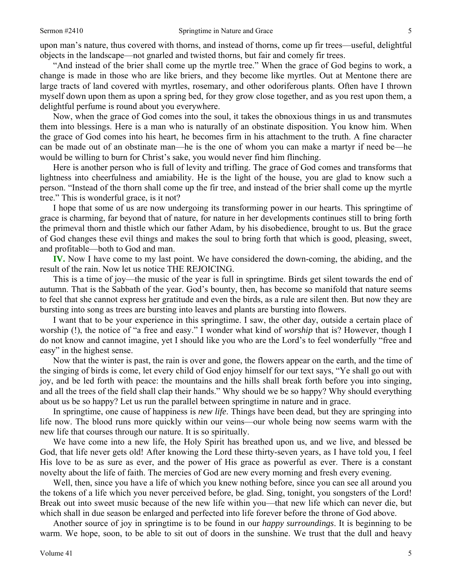upon man's nature, thus covered with thorns, and instead of thorns, come up fir trees—useful, delightful objects in the landscape—not gnarled and twisted thorns, but fair and comely fir trees.

"And instead of the brier shall come up the myrtle tree." When the grace of God begins to work, a change is made in those who are like briers, and they become like myrtles. Out at Mentone there are large tracts of land covered with myrtles, rosemary, and other odoriferous plants. Often have I thrown myself down upon them as upon a spring bed, for they grow close together, and as you rest upon them, a delightful perfume is round about you everywhere.

Now, when the grace of God comes into the soul, it takes the obnoxious things in us and transmutes them into blessings. Here is a man who is naturally of an obstinate disposition. You know him. When the grace of God comes into his heart, he becomes firm in his attachment to the truth. A fine character can be made out of an obstinate man—he is the one of whom you can make a martyr if need be—he would be willing to burn for Christ's sake, you would never find him flinching.

Here is another person who is full of levity and trifling. The grace of God comes and transforms that lightness into cheerfulness and amiability. He is the light of the house, you are glad to know such a person. "Instead of the thorn shall come up the fir tree, and instead of the brier shall come up the myrtle tree." This is wonderful grace, is it not?

I hope that some of us are now undergoing its transforming power in our hearts. This springtime of grace is charming, far beyond that of nature, for nature in her developments continues still to bring forth the primeval thorn and thistle which our father Adam, by his disobedience, brought to us. But the grace of God changes these evil things and makes the soul to bring forth that which is good, pleasing, sweet, and profitable—both to God and man.

**IV.** Now I have come to my last point. We have considered the down-coming, the abiding, and the result of the rain. Now let us notice THE REJOICING.

This is a time of joy—the music of the year is full in springtime. Birds get silent towards the end of autumn. That is the Sabbath of the year. God's bounty, then, has become so manifold that nature seems to feel that she cannot express her gratitude and even the birds, as a rule are silent then. But now they are bursting into song as trees are bursting into leaves and plants are bursting into flowers.

I want that to be your experience in this springtime. I saw, the other day, outside a certain place of worship (!), the notice of "a free and easy." I wonder what kind of *worship* that is? However, though I do not know and cannot imagine, yet I should like you who are the Lord's to feel wonderfully "free and easy" in the highest sense.

Now that the winter is past, the rain is over and gone, the flowers appear on the earth, and the time of the singing of birds is come, let every child of God enjoy himself for our text says, "Ye shall go out with joy, and be led forth with peace: the mountains and the hills shall break forth before you into singing, and all the trees of the field shall clap their hands." Why should we be so happy? Why should everything about us be so happy? Let us run the parallel between springtime in nature and in grace.

In springtime, one cause of happiness is *new life*. Things have been dead, but they are springing into life now. The blood runs more quickly within our veins—our whole being now seems warm with the new life that courses through our nature. It is so spiritually.

We have come into a new life, the Holy Spirit has breathed upon us, and we live, and blessed be God, that life never gets old! After knowing the Lord these thirty-seven years, as I have told you, I feel His love to be as sure as ever, and the power of His grace as powerful as ever. There is a constant novelty about the life of faith. The mercies of God are new every morning and fresh every evening.

Well, then, since you have a life of which you knew nothing before, since you can see all around you the tokens of a life which you never perceived before, be glad. Sing, tonight, you songsters of the Lord! Break out into sweet music because of the new life within you—that new life which can never die, but which shall in due season be enlarged and perfected into life forever before the throne of God above.

Another source of joy in springtime is to be found in our *happy surroundings*. It is beginning to be warm. We hope, soon, to be able to sit out of doors in the sunshine. We trust that the dull and heavy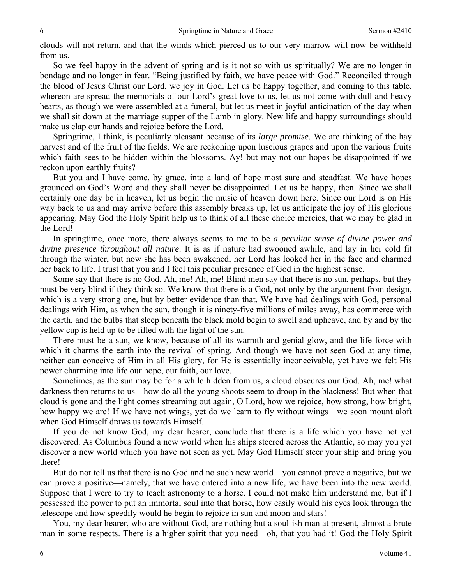clouds will not return, and that the winds which pierced us to our very marrow will now be withheld from us.

So we feel happy in the advent of spring and is it not so with us spiritually? We are no longer in bondage and no longer in fear. "Being justified by faith, we have peace with God." Reconciled through the blood of Jesus Christ our Lord, we joy in God. Let us be happy together, and coming to this table, whereon are spread the memorials of our Lord's great love to us, let us not come with dull and heavy hearts, as though we were assembled at a funeral, but let us meet in joyful anticipation of the day when we shall sit down at the marriage supper of the Lamb in glory. New life and happy surroundings should make us clap our hands and rejoice before the Lord.

Springtime, I think, is peculiarly pleasant because of its *large promise*. We are thinking of the hay harvest and of the fruit of the fields. We are reckoning upon luscious grapes and upon the various fruits which faith sees to be hidden within the blossoms. Ay! but may not our hopes be disappointed if we reckon upon earthly fruits?

But you and I have come, by grace, into a land of hope most sure and steadfast. We have hopes grounded on God's Word and they shall never be disappointed. Let us be happy, then. Since we shall certainly one day be in heaven, let us begin the music of heaven down here. Since our Lord is on His way back to us and may arrive before this assembly breaks up, let us anticipate the joy of His glorious appearing. May God the Holy Spirit help us to think of all these choice mercies, that we may be glad in the Lord!

In springtime, once more, there always seems to me to be *a peculiar sense of divine power and divine presence throughout all nature*. It is as if nature had swooned awhile, and lay in her cold fit through the winter, but now she has been awakened, her Lord has looked her in the face and charmed her back to life. I trust that you and I feel this peculiar presence of God in the highest sense.

Some say that there is no God. Ah, me! Ah, me! Blind men say that there is no sun, perhaps, but they must be very blind if they think so. We know that there is a God, not only by the argument from design, which is a very strong one, but by better evidence than that. We have had dealings with God, personal dealings with Him, as when the sun, though it is ninety-five millions of miles away, has commerce with the earth, and the bulbs that sleep beneath the black mold begin to swell and upheave, and by and by the yellow cup is held up to be filled with the light of the sun.

There must be a sun, we know, because of all its warmth and genial glow, and the life force with which it charms the earth into the revival of spring. And though we have not seen God at any time, neither can conceive of Him in all His glory, for He is essentially inconceivable, yet have we felt His power charming into life our hope, our faith, our love.

Sometimes, as the sun may be for a while hidden from us, a cloud obscures our God. Ah, me! what darkness then returns to us—how do all the young shoots seem to droop in the blackness! But when that cloud is gone and the light comes streaming out again, O Lord, how we rejoice, how strong, how bright, how happy we are! If we have not wings, yet do we learn to fly without wings—we soon mount aloft when God Himself draws us towards Himself.

If you do not know God, my dear hearer, conclude that there is a life which you have not yet discovered. As Columbus found a new world when his ships steered across the Atlantic, so may you yet discover a new world which you have not seen as yet. May God Himself steer your ship and bring you there!

But do not tell us that there is no God and no such new world—you cannot prove a negative, but we can prove a positive—namely, that we have entered into a new life, we have been into the new world. Suppose that I were to try to teach astronomy to a horse. I could not make him understand me, but if I possessed the power to put an immortal soul into that horse, how easily would his eyes look through the telescope and how speedily would he begin to rejoice in sun and moon and stars!

You, my dear hearer, who are without God, are nothing but a soul-ish man at present, almost a brute man in some respects. There is a higher spirit that you need—oh, that you had it! God the Holy Spirit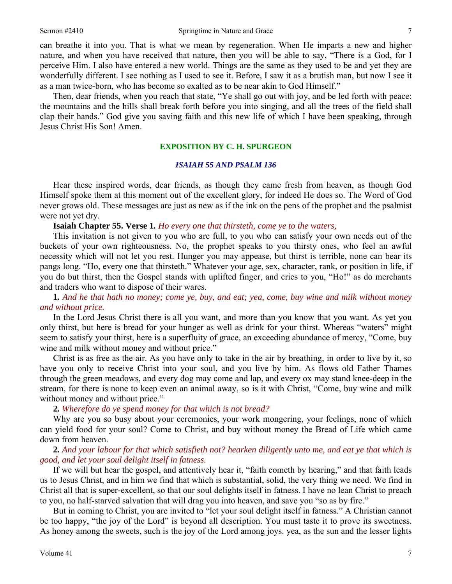can breathe it into you. That is what we mean by regeneration. When He imparts a new and higher nature, and when you have received that nature, then you will be able to say, "There is a God, for I perceive Him. I also have entered a new world. Things are the same as they used to be and yet they are wonderfully different. I see nothing as I used to see it. Before, I saw it as a brutish man, but now I see it as a man twice-born, who has become so exalted as to be near akin to God Himself."

Then, dear friends, when you reach that state, "Ye shall go out with joy, and be led forth with peace: the mountains and the hills shall break forth before you into singing, and all the trees of the field shall clap their hands." God give you saving faith and this new life of which I have been speaking, through Jesus Christ His Son! Amen.

#### **EXPOSITION BY C. H. SPURGEON**

#### *ISAIAH 55 AND PSALM 136*

Hear these inspired words, dear friends, as though they came fresh from heaven, as though God Himself spoke them at this moment out of the excellent glory, for indeed He does so. The Word of God never grows old. These messages are just as new as if the ink on the pens of the prophet and the psalmist were not yet dry.

**Isaiah Chapter 55. Verse 1***. Ho every one that thirsteth, come ye to the waters,* 

This invitation is not given to you who are full, to you who can satisfy your own needs out of the buckets of your own righteousness. No, the prophet speaks to you thirsty ones, who feel an awful necessity which will not let you rest. Hunger you may appease, but thirst is terrible, none can bear its pangs long. "Ho, every one that thirsteth." Whatever your age, sex, character, rank, or position in life, if you do but thirst, then the Gospel stands with uplifted finger, and cries to you, "Ho!" as do merchants and traders who want to dispose of their wares.

**1***. And he that hath no money; come ye, buy, and eat; yea, come, buy wine and milk without money and without price.*

In the Lord Jesus Christ there is all you want, and more than you know that you want. As yet you only thirst, but here is bread for your hunger as well as drink for your thirst. Whereas "waters" might seem to satisfy your thirst, here is a superfluity of grace, an exceeding abundance of mercy, "Come, buy wine and milk without money and without price."

Christ is as free as the air. As you have only to take in the air by breathing, in order to live by it, so have you only to receive Christ into your soul, and you live by him. As flows old Father Thames through the green meadows, and every dog may come and lap, and every ox may stand knee-deep in the stream, for there is none to keep even an animal away, so is it with Christ, "Come, buy wine and milk without money and without price."

**2***. Wherefore do ye spend money for that which is not bread?*

Why are you so busy about your ceremonies, your work mongering, your feelings, none of which can yield food for your soul? Come to Christ, and buy without money the Bread of Life which came down from heaven.

## **2***. And your labour for that which satisfieth not? hearken diligently unto me, and eat ye that which is good, and let your soul delight itself in fatness.*

If we will but hear the gospel, and attentively hear it, "faith cometh by hearing," and that faith leads us to Jesus Christ, and in him we find that which is substantial, solid, the very thing we need. We find in Christ all that is super-excellent, so that our soul delights itself in fatness. I have no lean Christ to preach to you, no half-starved salvation that will drag you into heaven, and save you "so as by fire."

But in coming to Christ, you are invited to "let your soul delight itself in fatness." A Christian cannot be too happy, "the joy of the Lord" is beyond all description. You must taste it to prove its sweetness. As honey among the sweets, such is the joy of the Lord among joys. yea, as the sun and the lesser lights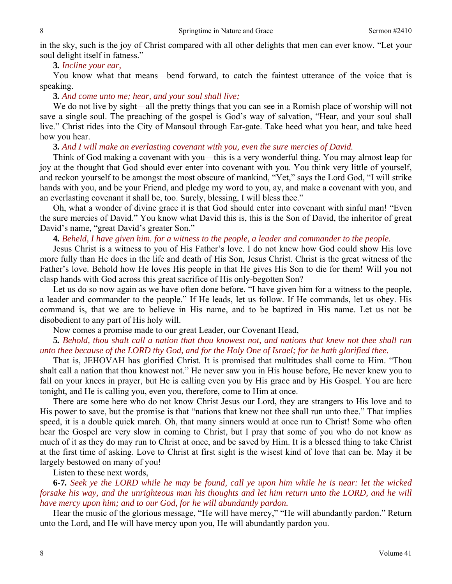in the sky, such is the joy of Christ compared with all other delights that men can ever know. "Let your soul delight itself in fatness."

### **3***. Incline your ear,*

You know what that means—bend forward, to catch the faintest utterance of the voice that is speaking.

#### **3***. And come unto me; hear, and your soul shall live;*

We do not live by sight—all the pretty things that you can see in a Romish place of worship will not save a single soul. The preaching of the gospel is God's way of salvation, "Hear, and your soul shall live." Christ rides into the City of Mansoul through Ear-gate. Take heed what you hear, and take heed how you hear.

#### **3***. And I will make an everlasting covenant with you, even the sure mercies of David.*

Think of God making a covenant with you—this is a very wonderful thing. You may almost leap for joy at the thought that God should ever enter into covenant with you. You think very little of yourself, and reckon yourself to be amongst the most obscure of mankind, "Yet," says the Lord God, "I will strike hands with you, and be your Friend, and pledge my word to you, ay, and make a covenant with you, and an everlasting covenant it shall be, too. Surely, blessing, I will bless thee."

Oh, what a wonder of divine grace it is that God should enter into covenant with sinful man! "Even the sure mercies of David." You know what David this is, this is the Son of David, the inheritor of great David's name, "great David's greater Son."

#### **4***. Beheld, I have given him. for a witness to the people, a leader and commander to the people.*

Jesus Christ is a witness to you of His Father's love. I do not knew how God could show His love more fully than He does in the life and death of His Son, Jesus Christ. Christ is the great witness of the Father's love. Behold how He loves His people in that He gives His Son to die for them! Will you not clasp hands with God across this great sacrifice of His only-begotten Son?

Let us do so now again as we have often done before. "I have given him for a witness to the people, a leader and commander to the people." If He leads, let us follow. If He commands, let us obey. His command is, that we are to believe in His name, and to be baptized in His name. Let us not be disobedient to any part of His holy will.

Now comes a promise made to our great Leader, our Covenant Head,

## **5***. Behold, thou shalt call a nation that thou knowest not, and nations that knew not thee shall run unto thee because of the LORD thy God, and for the Holy One of Israel; for he hath glorified thee.*

That is, JEHOVAH has glorified Christ. It is promised that multitudes shall come to Him. "Thou shalt call a nation that thou knowest not." He never saw you in His house before, He never knew you to fall on your knees in prayer, but He is calling even you by His grace and by His Gospel. You are here tonight, and He is calling you, even you, therefore, come to Him at once.

There are some here who do not know Christ Jesus our Lord, they are strangers to His love and to His power to save, but the promise is that "nations that knew not thee shall run unto thee." That implies speed, it is a double quick march. Oh, that many sinners would at once run to Christ! Some who often hear the Gospel are very slow in coming to Christ, but I pray that some of you who do not know as much of it as they do may run to Christ at once, and be saved by Him. It is a blessed thing to take Christ at the first time of asking. Love to Christ at first sight is the wisest kind of love that can be. May it be largely bestowed on many of you!

Listen to these next words,

**6***-***7***. Seek ye the LORD while he may be found, call ye upon him while he is near: let the wicked forsake his way, and the unrighteous man his thoughts and let him return unto the LORD, and he will have mercy upon him; and to our God, for he will abundantly pardon.*

Hear the music of the glorious message, "He will have mercy," "He will abundantly pardon." Return unto the Lord, and He will have mercy upon you, He will abundantly pardon you.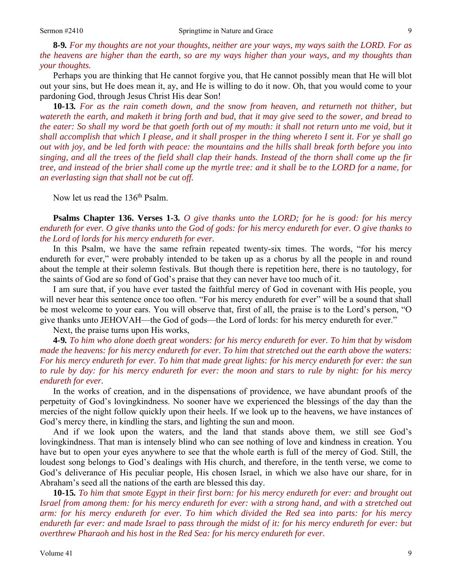**8***-***9***. For my thoughts are not your thoughts, neither are your ways, my ways saith the LORD. For as the heavens are higher than the earth, so are my ways higher than your ways, and my thoughts than your thoughts.*

Perhaps you are thinking that He cannot forgive you, that He cannot possibly mean that He will blot out your sins, but He does mean it, ay, and He is willing to do it now. Oh, that you would come to your pardoning God, through Jesus Christ His dear Son!

**10***-***13***. For as the rain cometh down, and the snow from heaven, and returneth not thither, but watereth the earth, and maketh it bring forth and bud, that it may give seed to the sower, and bread to the eater: So shall my word be that goeth forth out of my mouth: it shall not return unto me void, but it shall accomplish that which I please, and it shall prosper in the thing whereto I sent it. For ye shall go out with joy, and be led forth with peace: the mountains and the hills shall break forth before you into singing, and all the trees of the field shall clap their hands. Instead of the thorn shall come up the fir tree, and instead of the brier shall come up the myrtle tree: and it shall be to the LORD for a name, for an everlasting sign that shall not be cut off.* 

Now let us read the 136<sup>th</sup> Psalm.

**Psalms Chapter 136. Verses 1***-***3***. O give thanks unto the LORD; for he is good: for his mercy endureth for ever. O give thanks unto the God of gods: for his mercy endureth for ever. O give thanks to the Lord of lords for his mercy endureth for ever.*

In this Psalm, we have the same refrain repeated twenty-six times. The words, "for his mercy endureth for ever," were probably intended to be taken up as a chorus by all the people in and round about the temple at their solemn festivals. But though there is repetition here, there is no tautology, for the saints of God are so fond of God's praise that they can never have too much of it.

I am sure that, if you have ever tasted the faithful mercy of God in covenant with His people, you will never hear this sentence once too often. "For his mercy endureth for ever" will be a sound that shall be most welcome to your ears. You will observe that, first of all, the praise is to the Lord's person, "O give thanks unto JEHOVAH—the God of gods—the Lord of lords: for his mercy endureth for ever."

Next, the praise turns upon His works,

**4***-***9***. To him who alone doeth great wonders: for his mercy endureth for ever. To him that by wisdom made the heavens: for his mercy endureth for ever. To him that stretched out the earth above the waters: For his mercy endureth for ever. To him that made great lights: for his mercy endureth for ever: the sun to rule by day: for his mercy endureth for ever: the moon and stars to rule by night: for his mercy endureth for ever.*

In the works of creation, and in the dispensations of providence, we have abundant proofs of the perpetuity of God's lovingkindness. No sooner have we experienced the blessings of the day than the mercies of the night follow quickly upon their heels. If we look up to the heavens, we have instances of God's mercy there, in kindling the stars, and lighting the sun and moon.

And if we look upon the waters, and the land that stands above them, we still see God's lovingkindness. That man is intensely blind who can see nothing of love and kindness in creation. You have but to open your eyes anywhere to see that the whole earth is full of the mercy of God. Still, the loudest song belongs to God's dealings with His church, and therefore, in the tenth verse, we come to God's deliverance of His peculiar people, His chosen Israel, in which we also have our share, for in Abraham's seed all the nations of the earth are blessed this day.

**10***-***15***. To him that smote Egypt in their first born: for his mercy endureth for ever: and brought out Israel from among them: for his mercy endureth for ever: with a strong hand, and with a stretched out arm: for his mercy endureth for ever. To him which divided the Red sea into parts: for his mercy endureth far ever: and made Israel to pass through the midst of it: for his mercy endureth for ever: but overthrew Pharaoh and his host in the Red Sea: for his mercy endureth for ever.*